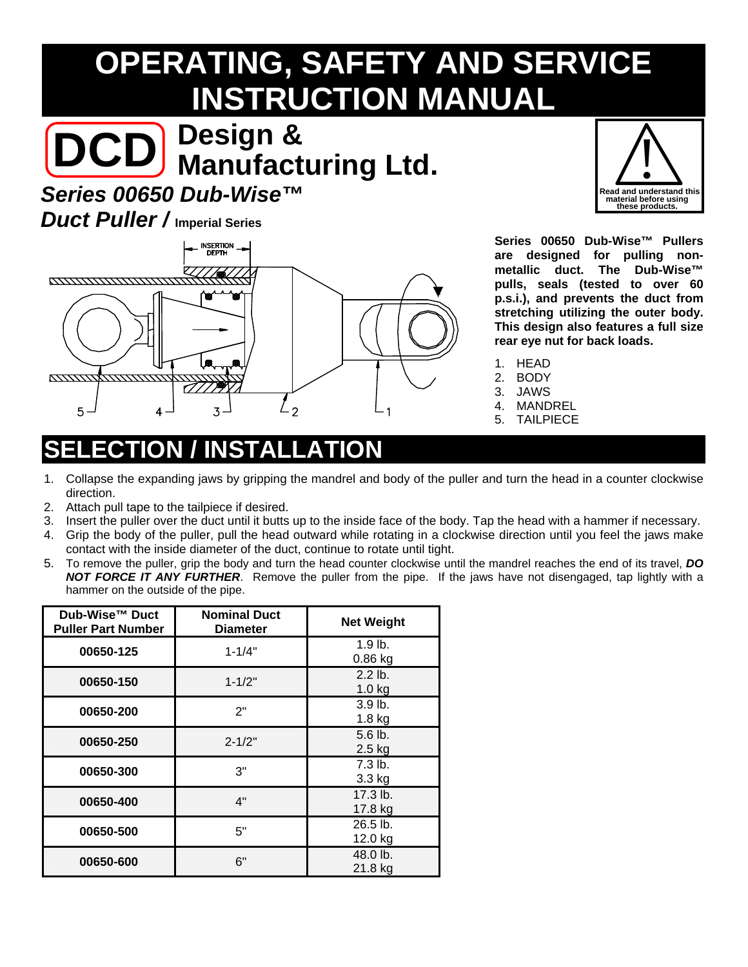# **OPERATING, SAFETY AND SERVICE INSTRUCTION MANUAL**

# **DCD Manufacturing Ltd. Design &**

### *Series 00650 Dub-Wise™*

#### *Duct Puller /* **Imperial Series**



**Series 00650 Dub-Wise™ Pullers are designed for pulling nonmetallic duct. The Dub-Wise™ pulls, seals (tested to over 60 p.s.i.), and prevents the duct from stretching utilizing the outer body. This design also features a full size rear eye nut for back loads.** 

- 1. HEAD
- 2. BODY
- 3. JAWS
- 4. MANDREL
- 5. TAILPIECE

## **NSTALLATION**

- 1. Collapse the expanding jaws by gripping the mandrel and body of the puller and turn the head in a counter clockwise direction.
- 2. Attach pull tape to the tailpiece if desired.
- 3. Insert the puller over the duct until it butts up to the inside face of the body. Tap the head with a hammer if necessary.
- 4. Grip the body of the puller, pull the head outward while rotating in a clockwise direction until you feel the jaws make contact with the inside diameter of the duct, continue to rotate until tight.
- 5. To remove the puller, grip the body and turn the head counter clockwise until the mandrel reaches the end of its travel, *DO NOT FORCE IT ANY FURTHER*. Remove the puller from the pipe. If the jaws have not disengaged, tap lightly with a hammer on the outside of the pipe.

| Dub-Wise™ Duct<br><b>Puller Part Number</b> | <b>Nominal Duct</b><br><b>Diameter</b> | <b>Net Weight</b>             |  |
|---------------------------------------------|----------------------------------------|-------------------------------|--|
| 00650-125                                   | $1 - 1/4"$                             | $1.9$ lb.<br>0.86 kg          |  |
| 00650-150                                   | $1 - 1/2"$                             | $2.2$ lb.<br>$1.0$ kg         |  |
| 00650-200                                   | 2"                                     | 3.9 <sub>lb</sub><br>$1.8$ kg |  |
| 00650-250                                   | $2 - 1/2"$                             | $5.6$ lb.<br>$2.5$ kg         |  |
| 00650-300                                   | 3"                                     | $7.3$ lb.<br>3.3 kg           |  |
| 00650-400                                   | 4"                                     | $17.3$ lb.<br>17.8 kg         |  |
| 00650-500                                   | 5"                                     | 26.5 lb.<br>12.0 kg           |  |
| 00650-600                                   | 6"                                     | 48.0 lb.<br>21.8 kg           |  |